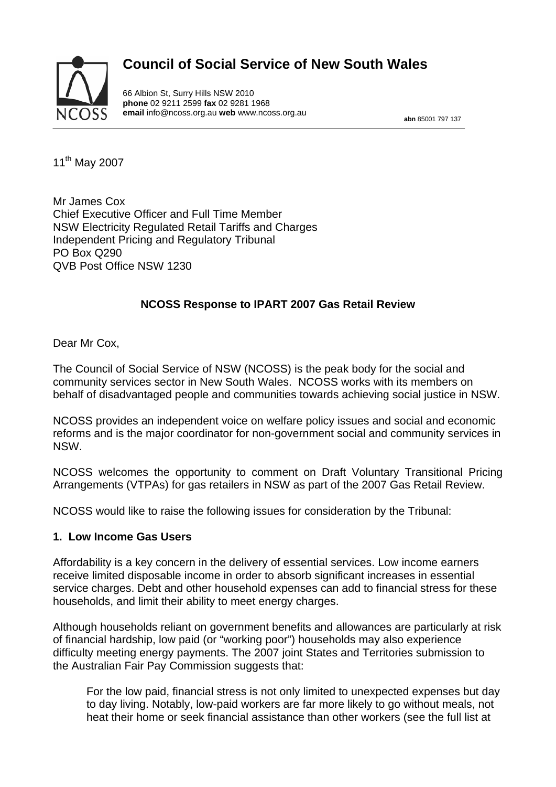# **Council of Social Service of New South Wales**



66 Albion St, Surry Hills NSW 2010 **phone** 02 9211 2599 **fax** 02 9281 1968 **email** info@ncoss.org.au **web** www.ncoss.org.au **abn** 85001 797 137

11th May 2007

Mr James Cox Chief Executive Officer and Full Time Member NSW Electricity Regulated Retail Tariffs and Charges Independent Pricing and Regulatory Tribunal PO Box Q290 QVB Post Office NSW 1230

## **NCOSS Response to IPART 2007 Gas Retail Review**

Dear Mr Cox,

The Council of Social Service of NSW (NCOSS) is the peak body for the social and community services sector in New South Wales. NCOSS works with its members on behalf of disadvantaged people and communities towards achieving social justice in NSW.

NCOSS provides an independent voice on welfare policy issues and social and economic reforms and is the major coordinator for non-government social and community services in NSW.

NCOSS welcomes the opportunity to comment on Draft Voluntary Transitional Pricing Arrangements (VTPAs) for gas retailers in NSW as part of the 2007 Gas Retail Review.

NCOSS would like to raise the following issues for consideration by the Tribunal:

#### **1. Low Income Gas Users**

Affordability is a key concern in the delivery of essential services. Low income earners receive limited disposable income in order to absorb significant increases in essential service charges. Debt and other household expenses can add to financial stress for these households, and limit their ability to meet energy charges.

Although households reliant on government benefits and allowances are particularly at risk of financial hardship, low paid (or "working poor") households may also experience difficulty meeting energy payments. The 2007 joint States and Territories submission to the Australian Fair Pay Commission suggests that:

For the low paid, financial stress is not only limited to unexpected expenses but day to day living. Notably, low-paid workers are far more likely to go without meals, not heat their home or seek financial assistance than other workers (see the full list at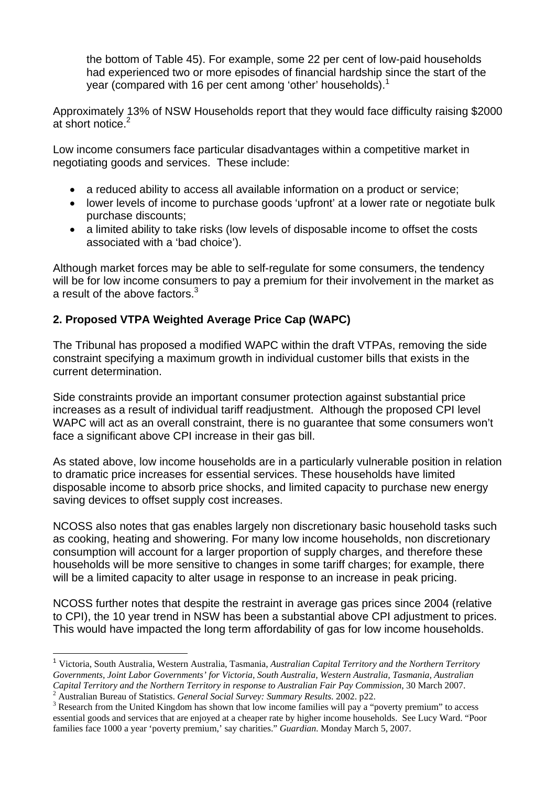the bottom of Table 45). For example, some 22 per cent of low-paid households had experienced two or more episodes of financial hardship since the start of the year (compared with 16 per cent among 'other' households).<sup>1</sup>

Approximately 13% of NSW Households report that they would face difficulty raising \$2000 at short notice.<sup>2</sup>

Low income consumers face particular disadvantages within a competitive market in negotiating goods and services. These include:

- a reduced ability to access all available information on a product or service;
- lower levels of income to purchase goods 'upfront' at a lower rate or negotiate bulk purchase discounts;
- a limited ability to take risks (low levels of disposable income to offset the costs associated with a 'bad choice').

Although market forces may be able to self-regulate for some consumers, the tendency will be for low income consumers to pay a premium for their involvement in the market as a result of the above factors.<sup>3</sup>

# **2. Proposed VTPA Weighted Average Price Cap (WAPC)**

The Tribunal has proposed a modified WAPC within the draft VTPAs, removing the side constraint specifying a maximum growth in individual customer bills that exists in the current determination.

Side constraints provide an important consumer protection against substantial price increases as a result of individual tariff readjustment. Although the proposed CPI level WAPC will act as an overall constraint, there is no guarantee that some consumers won't face a significant above CPI increase in their gas bill.

As stated above, low income households are in a particularly vulnerable position in relation to dramatic price increases for essential services. These households have limited disposable income to absorb price shocks, and limited capacity to purchase new energy saving devices to offset supply cost increases.

NCOSS also notes that gas enables largely non discretionary basic household tasks such as cooking, heating and showering. For many low income households, non discretionary consumption will account for a larger proportion of supply charges, and therefore these households will be more sensitive to changes in some tariff charges; for example, there will be a limited capacity to alter usage in response to an increase in peak pricing.

NCOSS further notes that despite the restraint in average gas prices since 2004 (relative to CPI), the 10 year trend in NSW has been a substantial above CPI adjustment to prices. This would have impacted the long term affordability of gas for low income households.

 $\overline{a}$ 

<sup>1</sup> Victoria, South Australia, Western Australia, Tasmania, *Australian Capital Territory and the Northern Territory Governments, Joint Labor Governments' for Victoria, South Australia, Western Australia, Tasmania, Australian Capital Territory and the Northern Territory in response to Australian Fair Pay Commission*, 30 March 2007.<br><sup>2</sup> Australian Burgey of Statistics, *Congress Social Sumany Summany Basella*, 2002, p22

<sup>&</sup>lt;sup>2</sup> Australian Bureau of Statistics. *General Social Survey: Summary Results*. 2002. p22. <sup>3</sup> Becoggies from the United Kingdom has about that low income families will now a "r

<sup>&</sup>lt;sup>3</sup> Research from the United Kingdom has shown that low income families will pay a "poverty premium" to access essential goods and services that are enjoyed at a cheaper rate by higher income households. See Lucy Ward. "Poor families face 1000 a year 'poverty premium,' say charities." *Guardian*. Monday March 5, 2007.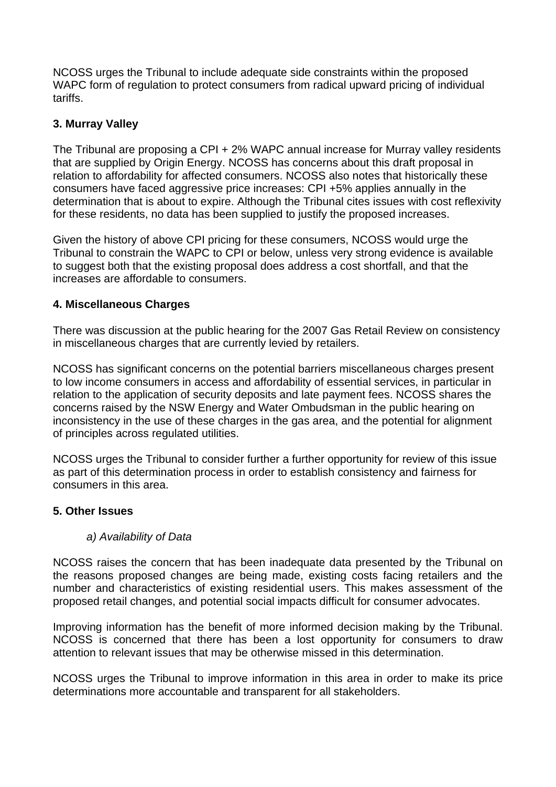NCOSS urges the Tribunal to include adequate side constraints within the proposed WAPC form of regulation to protect consumers from radical upward pricing of individual tariffs.

### **3. Murray Valley**

The Tribunal are proposing a CPI + 2% WAPC annual increase for Murray valley residents that are supplied by Origin Energy. NCOSS has concerns about this draft proposal in relation to affordability for affected consumers. NCOSS also notes that historically these consumers have faced aggressive price increases: CPI +5% applies annually in the determination that is about to expire. Although the Tribunal cites issues with cost reflexivity for these residents, no data has been supplied to justify the proposed increases.

Given the history of above CPI pricing for these consumers, NCOSS would urge the Tribunal to constrain the WAPC to CPI or below, unless very strong evidence is available to suggest both that the existing proposal does address a cost shortfall, and that the increases are affordable to consumers.

### **4. Miscellaneous Charges**

There was discussion at the public hearing for the 2007 Gas Retail Review on consistency in miscellaneous charges that are currently levied by retailers.

NCOSS has significant concerns on the potential barriers miscellaneous charges present to low income consumers in access and affordability of essential services, in particular in relation to the application of security deposits and late payment fees. NCOSS shares the concerns raised by the NSW Energy and Water Ombudsman in the public hearing on inconsistency in the use of these charges in the gas area, and the potential for alignment of principles across regulated utilities.

NCOSS urges the Tribunal to consider further a further opportunity for review of this issue as part of this determination process in order to establish consistency and fairness for consumers in this area.

### **5. Other Issues**

### *a) Availability of Data*

NCOSS raises the concern that has been inadequate data presented by the Tribunal on the reasons proposed changes are being made, existing costs facing retailers and the number and characteristics of existing residential users. This makes assessment of the proposed retail changes, and potential social impacts difficult for consumer advocates.

Improving information has the benefit of more informed decision making by the Tribunal. NCOSS is concerned that there has been a lost opportunity for consumers to draw attention to relevant issues that may be otherwise missed in this determination.

NCOSS urges the Tribunal to improve information in this area in order to make its price determinations more accountable and transparent for all stakeholders.